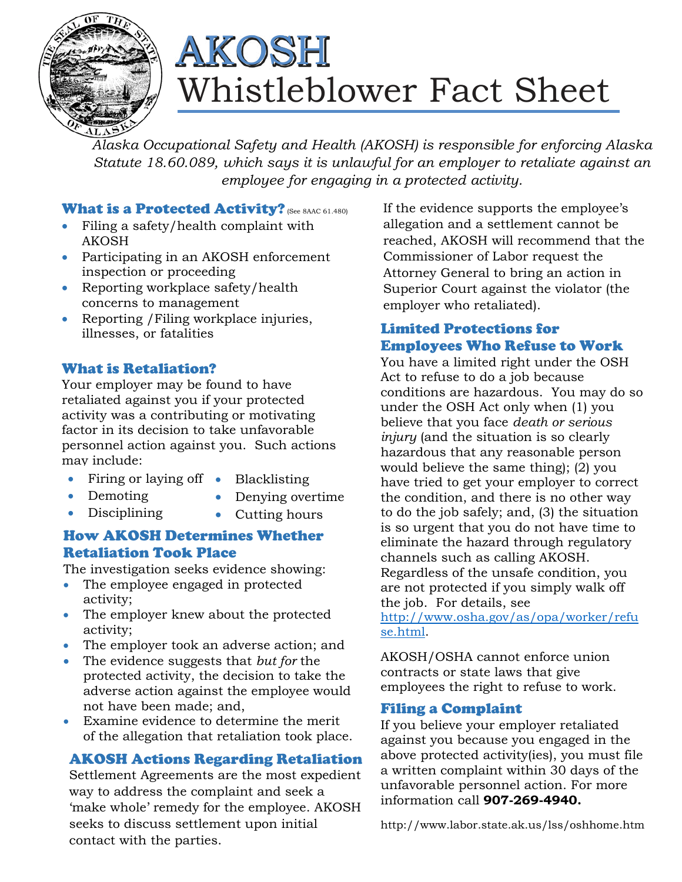

# Whistleblower Fact Sheet AKOSH

*Alaska Occupational Safety and Health (AKOSH) is responsible for enforcing Alaska Statute 18.60.089, which says it is unlawful for an employer to retaliate against an employee for engaging in a protected activity.* 

#### What is a Protected Activity? (See 8AAC 61.480)

- Filing a safety/health complaint with AKOSH
- Participating in an AKOSH enforcement inspection or proceeding
- Reporting workplace safety/health concerns to management
- Reporting / Filing workplace injuries, illnesses, or fatalities

### What is Retaliation?

Your employer may be found to have retaliated against you if your protected activity was a contributing or motivating factor in its decision to take unfavorable personnel action against you. Such actions may include:

- Firing or laying off •
- Demoting

• Disciplining

- Blacklisting
- Denying overtime
	- Cutting hours

### How AKOSH Determines Whether Retaliation Took Place

The investigation seeks evidence showing:

- The employee engaged in protected activity;
- The employer knew about the protected activity;
- The employer took an adverse action; and
- The evidence suggests that *but for* the protected activity, the decision to take the adverse action against the employee would not have been made; and,
- Examine evidence to determine the merit of the allegation that retaliation took place.

### AKOSH Actions Regarding Retaliation

Settlement Agreements are the most expedient way to address the complaint and seek a 'make whole' remedy for the employee. AKOSH seeks to discuss settlement upon initial contact with the parties.

If the evidence supports the employee's allegation and a settlement cannot be reached, AKOSH will recommend that the Commissioner of Labor request the Attorney General to bring an action in Superior Court against the violator (the employer who retaliated).

## Limited Protections for Employees Who Refuse to Work

You have a limited right under the OSH Act to refuse to do a job because conditions are hazardous. You may do so under the OSH Act only when (1) you believe that you face *death or serious injury* (and the situation is so clearly hazardous that any reasonable person would believe the same thing); (2) you have tried to get your employer to correct the condition, and there is no other way to do the job safely; and, (3) the situation is so urgent that you do not have time to eliminate the hazard through regulatory channels such as calling AKOSH. Regardless of the unsafe condition, you are not protected if you simply walk off the job. For details, see

http://www.osha.gov/as/opa/worker/refu se.html.

AKOSH/OSHA cannot enforce union contracts or state laws that give employees the right to refuse to work.

#### Filing a Complaint

If you believe your employer retaliated against you because you engaged in the above protected activity(ies), you must file a written complaint within 30 days of the unfavorable personnel action. For more information call **907-269-4940.**

http://www.labor.state.ak.us/lss/oshhome.htm